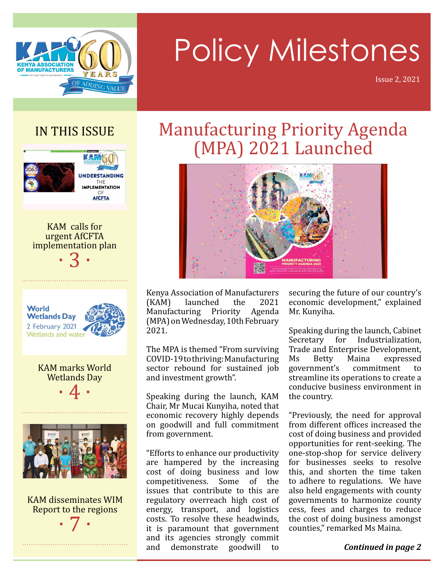

# Policy Milestones

Issue 2, 2021

### IN THIS ISSUE



KAM calls for urgent AfCFTA implementation plan · 3 ·



KAM marks World Wetlands Day  $\cdot$  4  $\cdot$ 



KAM disseminates WIM Report to the regions · 7 ·

### Manufacturing Priority Agenda (MPA) 2021 Launched



Kenya Association of Manufacturers (KAM) launched the 2021 Manufacturing Priority Agenda (MPA) on Wednesday, 10th February 2021.

The MPA is themed "From surviving COVID-19 to thriving: Manufacturing sector rebound for sustained job and investment growth".

Speaking during the launch, KAM Chair, Mr Mucai Kunyiha, noted that economic recovery highly depends on goodwill and full commitment from government.

"Efforts to enhance our productivity are hampered by the increasing cost of doing business and low competitiveness. Some of the issues that contribute to this are regulatory overreach high cost of energy, transport, and logistics costs. To resolve these headwinds, it is paramount that government and its agencies strongly commit and demonstrate goodwill to

securing the future of our country's economic development," explained Mr. Kunyiha.

Speaking during the launch, Cabinet Secretary for Industrialization, Trade and Enterprise Development, Ms Betty Maina expressed government's commitment to streamline its operations to create a conducive business environment in the country.

"Previously, the need for approval from different offices increased the cost of doing business and provided opportunities for rent-seeking. The one-stop-shop for service delivery for businesses seeks to resolve this, and shorten the time taken to adhere to regulations. We have also held engagements with county governments to harmonize county cess, fees and charges to reduce the cost of doing business amongst counties," remarked Ms Maina.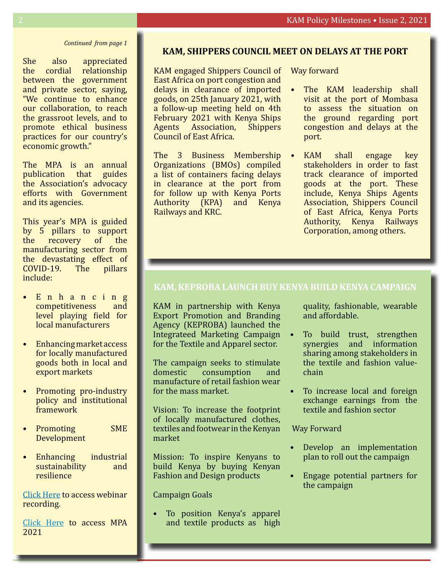#### *Continued from page 1*

She also appreciated the cordial relationship between the government and private sector, saying, "We continue to enhance our collaboration, to reach the grassroot levels, and to promote ethical business practices for our country's economic growth."

The MPA is an annual publication that guides the Association's advocacy efforts with Government and its agencies.

This year's MPA is guided by 5 pillars to support the recovery of the manufacturing sector from the devastating effect of COVID-19. The pillars include:

- E n h a n c i n g competitiveness and level playing field for local manufacturers
- Enhancing market access for locally manufactured goods both in local and export markets
- Promoting pro-industry policy and institutional framework
- Promoting SME Development
- Enhancing industrial<br>sustainability and sustainability resilience

[Click Here](https://youtu.be/4QIZHdrRSjU) to access webinar recording.

[Click Here](https://kam.co.ke/wp-content/uploads/2021/02/2021-Manufacturing-Priority-Agenda.pdf) to access MPA 2021

#### **KAM, Shippers Council meet on delays at the port**

KAM engaged Shippers Council of Way forward East Africa on port congestion and delays in clearance of imported goods, on 25th January 2021, with a follow-up meeting held on 4th February 2021 with Kenya Ships Agents Association, Shippers Council of East Africa.

The 3 Business Membership Organizations (BMOs) compiled a list of containers facing delays in clearance at the port from for follow up with Kenya Ports Authority (KPA) and Kenya Railways and KRC.

- The KAM leadership shall visit at the port of Mombasa to assess the situation on the ground regarding port congestion and delays at the port.
- KAM shall engage key stakeholders in order to fast track clearance of imported goods at the port. These include, Kenya Ships Agents Association, Shippers Council of East Africa, Kenya Ports Authority, Kenya Railways Corporation, among others.

#### **KAM, KEPROBA launch Buy Kenya Build Kenya Campaign**

KAM in partnership with Kenya Export Promotion and Branding Agency (KEPROBA) launched the Integrateed Marketing Campaign for the Textile and Apparel sector.

The campaign seeks to stimulate<br>domestic consumption and consumption and manufacture of retail fashion wear for the mass market.

Vision: To increase the footprint of locally manufactured clothes, textiles and footwear in the Kenyan market

Mission: To inspire Kenyans to build Kenya by buying Kenyan Fashion and Design products

Campaign Goals

To position Kenya's apparel and textile products as high

quality, fashionable, wearable and affordable.

- To build trust, strengthen synergies and information sharing among stakeholders in the textile and fashion valuechain
- To increase local and foreign exchange earnings from the textile and fashion sector

Way Forward

- Develop an implementation plan to roll out the campaign
- Engage potential partners for the campaign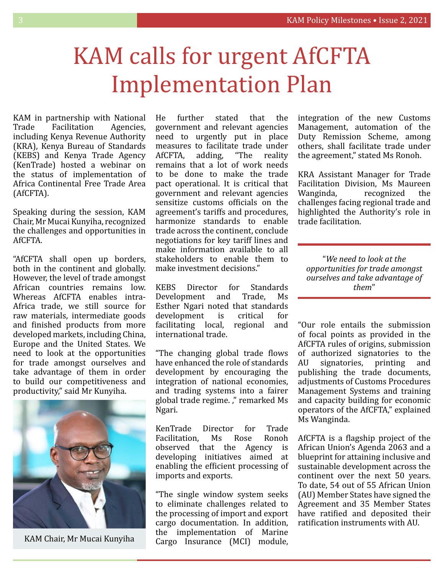## KAM calls for urgent AfCFTA Implementation Plan

KAM in partnership with National Trade Facilitation Agencies, including Kenya Revenue Authority (KRA), Kenya Bureau of Standards (KEBS) and Kenya Trade Agency (KenTrade) hosted a webinar on the status of implementation of Africa Continental Free Trade Area (AfCFTA).

Speaking during the session, KAM Chair, Mr Mucai Kunyiha, recognized the challenges and opportunities in AfCFTA.

"AfCFTA shall open up borders, both in the continent and globally. However, the level of trade amongst African countries remains low. Whereas AfCFTA enables intra-Africa trade, we still source for raw materials, intermediate goods and finished products from more developed markets, including China, Europe and the United States. We need to look at the opportunities for trade amongst ourselves and take advantage of them in order to build our competitiveness and productivity," said Mr Kunyiha.



KAM Chair, Mr Mucai Kunyiha

He further stated that the government and relevant agencies need to urgently put in place measures to facilitate trade under<br>AfCFTA. adding. "The reality AfCFTA, adding, "The reality remains that a lot of work needs to be done to make the trade pact operational. It is critical that government and relevant agencies sensitize customs officials on the agreement's tariffs and procedures, harmonize standards to enable trade across the continent, conclude negotiations for key tariff lines and make information available to all stakeholders to enable them to make investment decisions."

KEBS Director for Standards Development and Trade, Ms Esther Ngari noted that standards development is critical for facilitating local, regional and international trade.

"The changing global trade flows have enhanced the role of standards development by encouraging the integration of national economies, and trading systems into a fairer global trade regime. ," remarked Ms Ngari.

KenTrade Director for Trade Facilitation, Ms Rose Ronoh observed that the Agency is developing initiatives aimed at enabling the efficient processing of imports and exports.

"The single window system seeks to eliminate challenges related to the processing of import and export cargo documentation. In addition, the implementation of Marine Cargo Insurance (MCI) module, integration of the new Customs Management, automation of the Duty Remission Scheme, among others, shall facilitate trade under the agreement," stated Ms Ronoh.

KRA Assistant Manager for Trade Facilitation Division, Ms Maureen Wanginda, recognized the challenges facing regional trade and highlighted the Authority's role in trade facilitation.

"*We need to look at the opportunities for trade amongst ourselves and take advantage of them*"

"Our role entails the submission of focal points as provided in the AfCFTA rules of origins, submission of authorized signatories to the AU signatories, printing and publishing the trade documents, adjustments of Customs Procedures Management Systems and training and capacity building for economic operators of the AfCFTA," explained Ms Wanginda.

AfCFTA is a flagship project of the African Union's Agenda 2063 and a blueprint for attaining inclusive and sustainable development across the continent over the next 50 years. To date, 54 out of 55 African Union (AU) Member States have signed the Agreement and 35 Member States have ratified and deposited their ratification instruments with AU.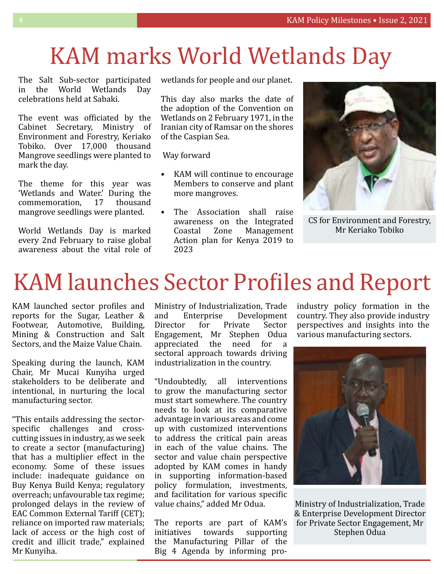## KAM marks World Wetlands Day

The Salt Sub-sector participated in the World Wetlands Day celebrations held at Sabaki.

The event was officiated by the Cabinet Secretary, Ministry of Environment and Forestry, Keriako Tobiko. Over 17,000 thousand Mangrove seedlings were planted to mark the day.

The theme for this year was 'Wetlands and Water.' During the commemoration, 17 thousand mangrove seedlings were planted.

World Wetlands Day is marked every 2nd February to raise global awareness about the vital role of wetlands for people and our planet.

This day also marks the date of the adoption of the Convention on Wetlands on 2 February 1971, in the Iranian city of Ramsar on the shores of the Caspian Sea.

Way forward

- KAM will continue to encourage Members to conserve and plant more mangroves.
- The Association shall raise awareness on the Integrated Coastal Zone Management Action plan for Kenya 2019 to 2023



CS for Environment and Forestry, Mr Keriako Tobiko

## KAM launches Sector Profiles and Report

KAM launched sector profiles and reports for the Sugar, Leather & Footwear, Automotive, Building, Mining & Construction and Salt Sectors, and the Maize Value Chain.

Speaking during the launch, KAM Chair, Mr Mucai Kunyiha urged stakeholders to be deliberate and intentional, in nurturing the local manufacturing sector.

"This entails addressing the sectorspecific challenges and crosscutting issues in industry, as we seek to create a sector (manufacturing) that has a multiplier effect in the economy. Some of these issues include: inadequate guidance on Buy Kenya Build Kenya; regulatory overreach; unfavourable tax regime; prolonged delays in the review of EAC Common External Tariff (CET); reliance on imported raw materials; lack of access or the high cost of credit and illicit trade," explained Mr Kunyiha.

Ministry of Industrialization, Trade and Enterprise Development<br>Director for Private Sector Director for Private Sector Engagement, Mr Stephen Odua appreciated the need for a sectoral approach towards driving industrialization in the country.

"Undoubtedly, all interventions to grow the manufacturing sector must start somewhere. The country needs to look at its comparative advantage in various areas and come up with customized interventions to address the critical pain areas in each of the value chains. The sector and value chain perspective adopted by KAM comes in handy in supporting information-based policy formulation, investments, and facilitation for various specific value chains," added Mr Odua.

The reports are part of KAM's initiatives towards supporting the Manufacturing Pillar of the Big 4 Agenda by informing proindustry policy formation in the country. They also provide industry perspectives and insights into the various manufacturing sectors.



Ministry of Industrialization, Trade & Enterprise Development Director for Private Sector Engagement, Mr Stephen Odua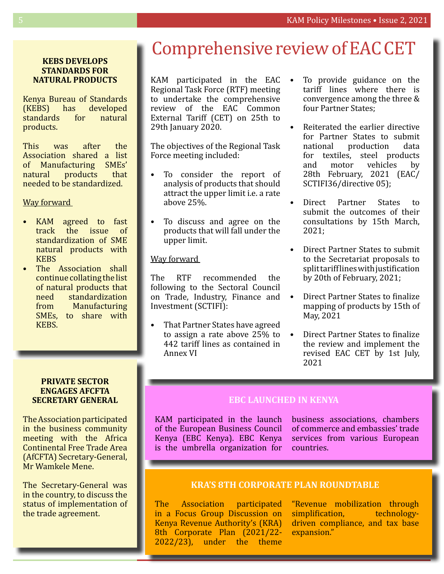#### **KEBS develops standards for natural products**

Kenya Bureau of Standards (KEBS) has developed standards for natural products.

This was after the Association shared a list of Manufacturing SMEs' natural products that needed to be standardized.

#### Way forward

- KAM agreed to fast track the issue of standardization of SME natural products with **KEBS**
- The Association shall continue collating the list of natural products that need standardization from Manufacturing SMEs, to share with KEBS.

#### **Private sector engages AfCFTA Secretary General**

The Association participated in the business community meeting with the Africa Continental Free Trade Area (AfCFTA) Secretary-General, Mr Wamkele Mene.

The Secretary-General was in the country, to discuss the status of implementation of the trade agreement.

### Comprehensive review of EAC CET

KAM participated in the EAC Regional Task Force (RTF) meeting to undertake the comprehensive review of the EAC Common External Tariff (CET) on 25th to 29th January 2020.

The objectives of the Regional Task Force meeting included:

- To consider the report of analysis of products that should attract the upper limit i.e. a rate above 25%.
- To discuss and agree on the products that will fall under the upper limit.

#### Way forward

The RTF recommended the following to the Sectoral Council on Trade, Industry, Finance and Investment (SCTIFI):

• That Partner States have agreed to assign a rate above 25% to 442 tariff lines as contained in Annex VI

- To provide guidance on the tariff lines where there is convergence among the three & four Partner States;
- Reiterated the earlier directive for Partner States to submit national production data for textiles, steel products and motor vehicles by 28th February, 2021 (EAC/ SCTIFI36/directive 05);
- Direct Partner States to submit the outcomes of their consultations by 15th March, 2021;
- Direct Partner States to submit to the Secretariat proposals to split tariff lines with justification by 20th of February, 2021;
- Direct Partner States to finalize mapping of products by 15th of May, 2021
- Direct Partner States to finalize the review and implement the revised EAC CET by 1st July, 2021

#### **EBC launched in Kenya**

KAM participated in the launch of the European Business Council Kenya (EBC Kenya). EBC Kenya is the umbrella organization for business associations, chambers of commerce and embassies' trade services from various European countries.

#### **KRA's 8th Corporate Plan Roundtable**

The Association participated in a Focus Group Discussion on Kenya Revenue Authority's (KRA) 8th Corporate Plan (2021/22- 2022/23), under the theme

"Revenue mobilization through<br>simplification, technologysimplification, driven compliance, and tax base expansion."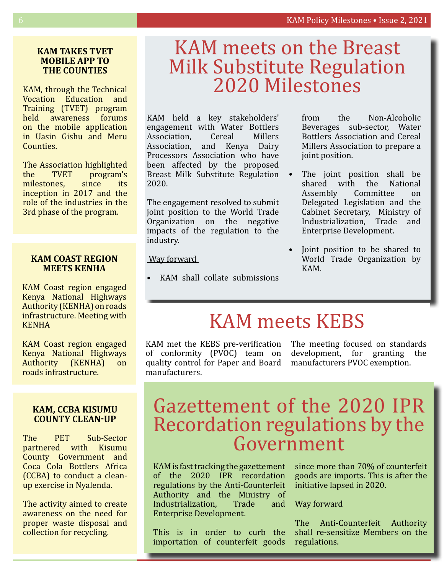#### **KAM takes TVET Mobile App to THE COUNTIES**

KAM, through the Technical Vocation Education and Training (TVET) program held awareness forums on the mobile application in Uasin Gishu and Meru Counties.

The Association highlighted the TVET program's<br>milestones. since its milestones, since its inception in 2017 and the role of the industries in the 3rd phase of the program.

#### **KAM COAST REGION MEETS KENHA**

KAM Coast region engaged Kenya National Highways Authority (KENHA) on roads infrastructure. Meeting with KENHA

KAM Coast region engaged Kenya National Highways Authority (KENHA) on roads infrastructure.

#### **KAM, CCBA Kisumu County Clean-Up**

The PET Sub-Sector partnered with Kisumu County Government and Coca Cola Bottlers Africa (CCBA) to conduct a cleanup exercise in Nyalenda.

The activity aimed to create awareness on the need for proper waste disposal and collection for recycling.

# KAM meets on the Breast Milk Substitute Regulation 2020 Milestones

KAM held a key stakeholders' engagement with Water Bottlers Association, Cereal Millers<br>Association. and Kenya Dairy and Kenya Dairy Processors Association who have been affected by the proposed Breast Milk Substitute Regulation 2020.

The engagement resolved to submit joint position to the World Trade Organization on the negative impacts of the regulation to the industry.

Way forward

KAM shall collate submissions

from the Non-Alcoholic Beverages sub-sector, Water Bottlers Association and Cereal Millers Association to prepare a joint position.

- The joint position shall be shared with the National Assembly Committee on Delegated Legislation and the Cabinet Secretary, Ministry of Industrialization, Trade and Enterprise Development.
- Joint position to be shared to World Trade Organization by KAM.

### KAM meets KEBS

KAM met the KEBS pre-verification The meeting focused on standards of conformity (PVOC) team on quality control for Paper and Board manufacturers PVOC exemption. manufacturers.

development, for granting the

### Gazettement of the 2020 IPR Recordation regulations by the Government

KAM is fast tracking the gazettement of the 2020 IPR recordation regulations by the Anti-Counterfeit Authority and the Ministry of Industrialization, Trade and Enterprise Development.

This is in order to curb the importation of counterfeit goods

since more than 70% of counterfeit goods are imports. This is after the initiative lapsed in 2020.

#### Way forward

The Anti-Counterfeit Authority shall re-sensitize Members on the regulations.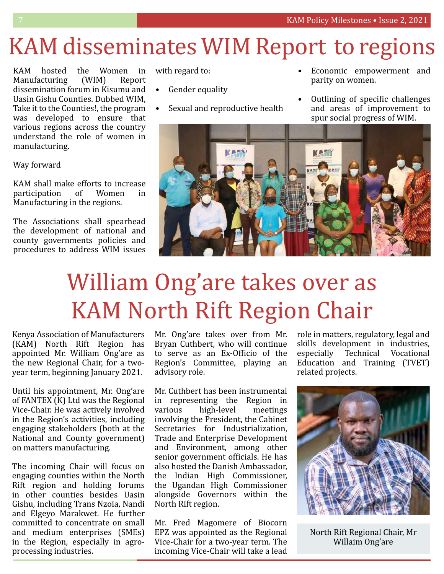## KAM disseminates WIM Report to regions

KAM hosted the Women in Manufacturing (WIM) Report dissemination forum in Kisumu and Uasin Gishu Counties. Dubbed WIM, Take it to the Counties!, the program was developed to ensure that various regions across the country understand the role of women in manufacturing.

#### Way forward

KAM shall make efforts to increase participation of Women in Manufacturing in the regions.

The Associations shall spearhead the development of national and county governments policies and procedures to address WIM issues

with regard to:

- Gender equality
- Sexual and reproductive health
- Economic empowerment and parity on women.
- Outlining of specific challenges and areas of improvement to spur social progress of WIM.



# William Ong'are takes over as KAM North Rift Region Chair

Kenya Association of Manufacturers (KAM) North Rift Region has appointed Mr. William Ong'are as the new Regional Chair, for a twoyear term, beginning January 2021.

Until his appointment, Mr. Ong'are of FANTEX (K) Ltd was the Regional Vice-Chair. He was actively involved in the Region's activities, including engaging stakeholders (both at the National and County government) on matters manufacturing.

The incoming Chair will focus on engaging counties within the North Rift region and holding forums in other counties besides Uasin Gishu, including Trans Nzoia, Nandi and Elgeyo Marakwet. He further committed to concentrate on small and medium enterprises (SMEs) in the Region, especially in agroprocessing industries.

Mr. Ong'are takes over from Mr. Bryan Cuthbert, who will continue to serve as an Ex-Officio of the Region's Committee, playing an advisory role.

Mr. Cuthbert has been instrumental in representing the Region in various high-level meetings involving the President, the Cabinet Secretaries for Industrialization, Trade and Enterprise Development and Environment, among other senior government officials. He has also hosted the Danish Ambassador, the Indian High Commissioner, the Ugandan High Commissioner alongside Governors within the North Rift region.

Mr. Fred Magomere of Biocorn EPZ was appointed as the Regional Vice-Chair for a two-year term. The incoming Vice-Chair will take a lead role in matters, regulatory, legal and skills development in industries, especially Technical Vocational Education and Training (TVET) related projects.



North Rift Regional Chair, Mr Willaim Ong'are